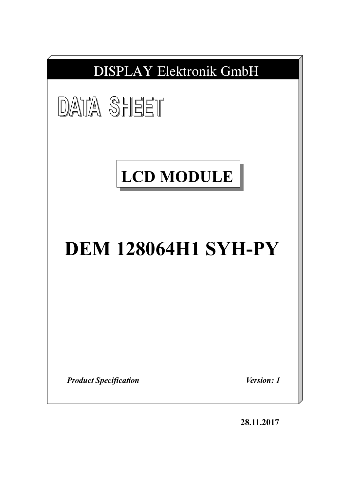| <b>DISPLAY Elektronik GmbH</b>                    |
|---------------------------------------------------|
| <b>DATA SHEET</b>                                 |
| <b>LCD MODULE</b>                                 |
| <b>DEM 128064H1 SYH-PY</b>                        |
|                                                   |
| <i>Version: 1</i><br><b>Product Specification</b> |

**28.11.2017**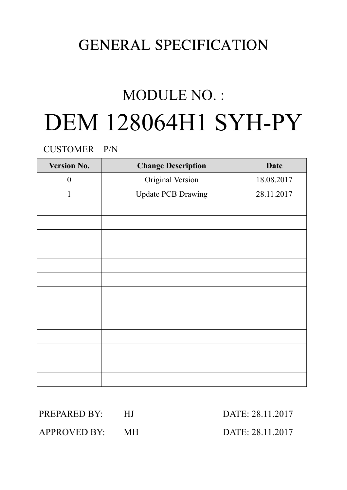# GENERAL SPECIFICATION

# MODULE NO. : DEM 128064H1 SYH-PY

CUSTOMER P/N

| <b>Version No.</b> | <b>Change Description</b> | <b>Date</b> |
|--------------------|---------------------------|-------------|
| $\boldsymbol{0}$   | Original Version          | 18.08.2017  |
| 1                  | <b>Update PCB Drawing</b> | 28.11.2017  |
|                    |                           |             |
|                    |                           |             |
|                    |                           |             |
|                    |                           |             |
|                    |                           |             |
|                    |                           |             |
|                    |                           |             |
|                    |                           |             |
|                    |                           |             |
|                    |                           |             |
|                    |                           |             |
|                    |                           |             |
|                    |                           |             |

PREPARED BY: HJ DATE: 28.11.2017

APPROVED BY: MH DATE: 28.11.2017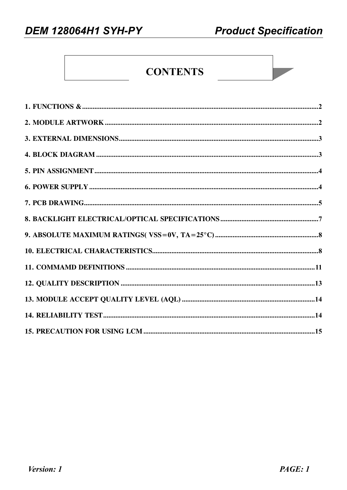## **CONTENTS**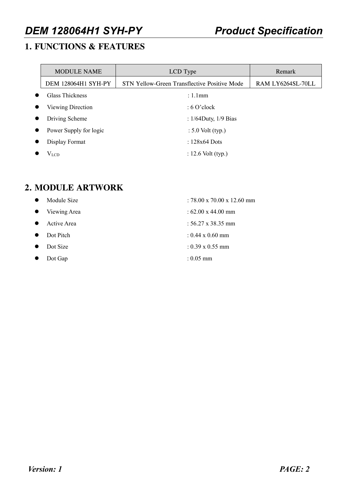## **1. FUNCTIONS & FEATURES**

|           | <b>MODULE NAME</b>     | LCD Type                                            | Remark            |
|-----------|------------------------|-----------------------------------------------------|-------------------|
|           | DEM 128064H1 SYH-PY    | <b>STN Yellow-Green Transflective Positive Mode</b> | RAM LY6264SL-70LL |
| $\bullet$ | <b>Glass Thickness</b> | $: 1.1$ mm                                          |                   |
| $\bullet$ | Viewing Direction      | $: 6$ O'clock                                       |                   |
| $\bullet$ | Driving Scheme         | : $1/64$ Duty, $1/9$ Bias                           |                   |
| $\bullet$ | Power Supply for logic | $: 5.0$ Volt (typ.)                                 |                   |
| $\bullet$ | Display Format         | : $128x64$ Dots                                     |                   |
| $\bullet$ | $V_{LCD}$              | : 12.6 Volt $(typ.)$                                |                   |

## **2. MODULE ARTWORK**

|           | Module Size  | : 78.00 x 70.00 x 12.60 mm        |
|-----------|--------------|-----------------------------------|
| $\bullet$ | Viewing Area | : $62.00 \times 44.00 \text{ mm}$ |
| $\bullet$ | Active Area  | : $56.27 \times 38.35 \text{ mm}$ |
| $\bullet$ | Dot Pitch    | $: 0.44 \times 0.60$ mm           |
|           | Dot Size     | $: 0.39 \times 0.55$ mm           |
|           | Dot Gap      | $: 0.05$ mm                       |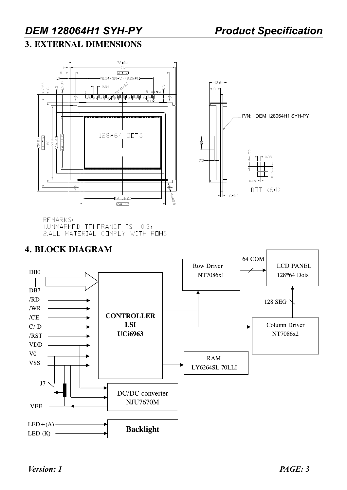## **3. EXTERNAL DIMENSIONS**



REMARKS: 1.UNMARKED TOLERANCE IS ±0.3; 2.ALL MATERIAL COMPLY WITH ROHS.

## **4. BLOCK DIAGRAM**

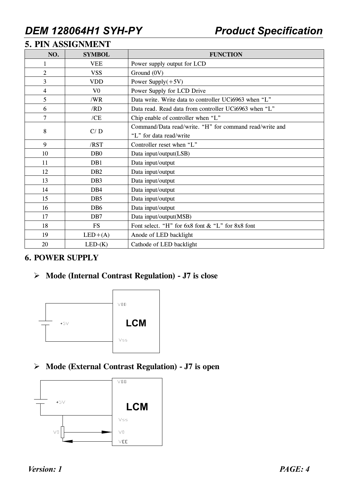## **5. PIN ASSIGNMENT**

| NO.            | <b>SYMBOL</b>    | <b>FUNCTION</b>                                         |
|----------------|------------------|---------------------------------------------------------|
| 1              | <b>VEE</b>       | Power supply output for LCD                             |
| $\overline{2}$ | <b>VSS</b>       | Ground (0V)                                             |
| 3              | <b>VDD</b>       | Power Supply $(+5V)$                                    |
| 4              | V <sub>0</sub>   | Power Supply for LCD Drive                              |
| 5              | /WR              | Data write. Write data to controller UCi6963 when "L"   |
| 6              | /RD              | Data read. Read data from controller UCi6963 when "L"   |
| 7              | /CE              | Chip enable of controller when "L"                      |
| 8              | C/D              | Command/Data read/write. "H" for command read/write and |
|                |                  | "L" for data read/write                                 |
| 9              | /RST             | Controller reset when "L"                               |
| 10             | D <sub>B</sub> 0 | Data input/output(LSB)                                  |
| 11             | DB1              | Data input/output                                       |
| 12             | DB <sub>2</sub>  | Data input/output                                       |
| 13             | DB <sub>3</sub>  | Data input/output                                       |
| 14             | D <sub>B4</sub>  | Data input/output                                       |
| 15             | D <sub>B5</sub>  | Data input/output                                       |
| 16             | D <sub>B6</sub>  | Data input/output                                       |
| 17             | D <sub>B7</sub>  | Data input/output(MSB)                                  |
| 18             | <b>FS</b>        | Font select. "H" for 6x8 font & "L" for 8x8 font        |
| 19             | $LED+(A)$        | Anode of LED backlight                                  |
| 20             | $LED-(K)$        | Cathode of LED backlight                                |

### **6. POWER SUPPLY**

### ÿ **Mode (Internal Contrast Regulation) - J7 is close**



ÿ **Mode (External Contrast Regulation) - J7 is open** 



*Version: 1 PAGE: 4*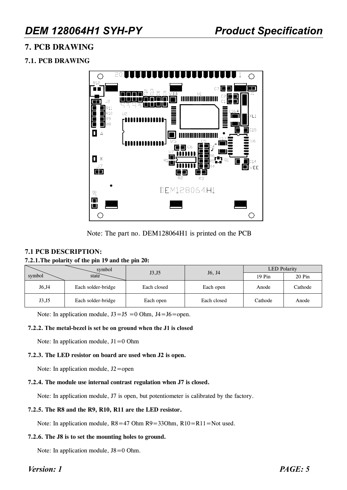### **7. PCB DRAWING**

### **7.1. PCB DRAWING**



Note: The part no. DEM128064H1 is printed on the PCB

#### **7.1 PCB DESCRIPTION:**

#### **7.2.1.The polarity of the pin 19 and the pin 20:**

|        | symbol                          | J3,J5       | J <sub>6</sub> , J <sub>4</sub> | <b>LED</b> Polarity |          |  |  |
|--------|---------------------------------|-------------|---------------------------------|---------------------|----------|--|--|
| symbol | state                           |             |                                 | 19 Pin              | $20$ Pin |  |  |
| J6, J4 | Each solder-bridge              | Each closed | Each open                       | Anode               | Cathode  |  |  |
| J3, J5 | Each solder-bridge<br>Each open |             | Each closed                     | Cathode             | Anode    |  |  |

Note: In application module,  $J3 = J5 = 0$  Ohm,  $J4 = J6$  = open.

#### **7.2.2. The metal-bezel is set be on ground when the J1 is closed**

Note: In application module, J1=0 Ohm

#### **7.2.3. The LED resistor on board are used when J2 is open.**

Note: In application module,  $J2 = open$ 

#### **7.2.4. The module use internal contrast regulation when J7 is closed.**

Note: In application module, J7 is open, but potentiometer is calibrated by the factory.

#### **7.2.5. The R8 and the R9, R10, R11 are the LED resistor.**

Note: In application module,  $R8 = 47$  Ohm  $R9 = 33$ Ohm,  $R10 = R11 = Not$  used.

#### **7.2.6. The J8 is to set the mounting holes to ground.**

Note: In application module,  $J8=0$  Ohm.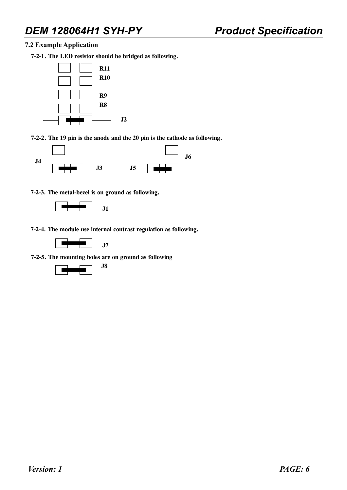**7.2 Example Application** 

**7-2-1. The LED resistor should be bridged as following.** 



**7-2-2. The 19 pin is the anode and the 20 pin is the cathode as following.** 



**7-2-3. The metal-bezel is on ground as following.** 



**7-2-4. The module use internal contrast regulation as following.** 



**7-2-5. The mounting holes are on ground as following** 

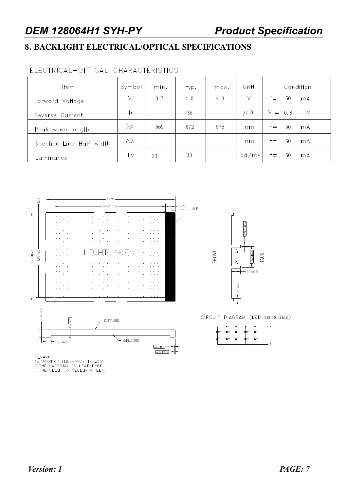## **8. BACKLIGHT ELECTRICAL/OPTICAL SPECIFICATIONS**

## ELECTRICAL-OPTICAL CHARACTERISTICS

| <b>Item</b>              | Symbol           | min. | typ. | max. | Unit              | Condition          |
|--------------------------|------------------|------|------|------|-------------------|--------------------|
| Forward Voltage          | Vf               | 3.7  | 4.0  | 4.3  | ٧                 | $ f=$<br>50<br>mA  |
| Reverse Current          | Ir.              |      | 35   |      | $\mu$ A           | $Vr = 0.8$<br>V    |
| Peak wave length         | $\lambda$ P      | 569  | 572  | 575  | nm                | $ f =$<br>50<br>mA |
| Spectral Line Half width | $\Delta \lambda$ |      |      |      | nm                | $ f=$<br>50<br>mA  |
| Luminance                | L٧               | 23   | 33   |      | cd/m <sup>2</sup> | $If =$<br>50<br>mA |



REMARKS:<br>1,UNMARKED TOLERANCE IS ±0.3,<br>2,THE MATERIAL IS LEAD-FREE,<br>3,THE COLOR IS YELLOW-GREEN.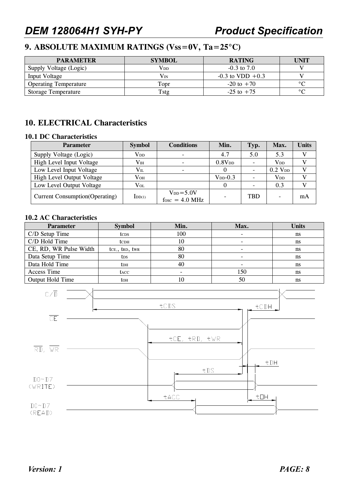## **9. ABSOLUTE MAXIMUM RATINGS (Vss=0V, Ta=25°C)**

| <b>PARAMETER</b>             | <b>SYMBOL</b> | <b>RATING</b>        | <b>UNIT</b> |
|------------------------------|---------------|----------------------|-------------|
| Supply Voltage (Logic)       | $\rm V_{DD}$  | $-0.3$ to $7.0$      |             |
| Input Voltage                | $\rm V_{IN}$  | $-0.3$ to VDD $+0.3$ |             |
| <b>Operating Temperature</b> | Topr          | $-20$ to $+70$       | $\sim$      |
| <b>Storage Temperature</b>   | Tstg          | $-25$ to $+75$       | $\sim$      |

### **10. ELECTRICAL Characteristics**

#### **10.1 DC Characteristics**

| <b>Parameter</b>                       | <b>Symbol</b>   | <b>Conditions</b>                    | Min.               | Typ.       | Max.                   | Units        |
|----------------------------------------|-----------------|--------------------------------------|--------------------|------------|------------------------|--------------|
| Supply Voltage (Logic)                 | $V_{DD}$        |                                      | 4.7                | 5.0        | 5.3                    | v            |
| High Level Input Voltage               | $\rm V_{IH}$    |                                      | 0.8V <sub>DD</sub> |            | <b>V</b> <sub>DD</sub> |              |
| Low Level Input Voltage                | $V_{IL}$        |                                      |                    |            | $0.2$ V <sub>DD</sub>  | $\mathbf{V}$ |
| High Level Output Voltage              | $V_{OH}$        |                                      | $V_{DD}$ -0.3      |            | $V_{DD}$               |              |
| Low Level Output Voltage               | $\rm V_{OL}$    |                                      |                    |            | 0.3                    |              |
| <b>Current Consumption (Operating)</b> | $\text{IDD}(1)$ | $V_{DD} = 5.0V$<br>$f$ osc = 4.0 MHz |                    | <b>TRD</b> |                        | mA           |

#### **10.2 AC Characteristics**

| <b>Parameter</b>        | <b>Symbol</b>          | Min. | Max. | <b>Units</b> |
|-------------------------|------------------------|------|------|--------------|
| C/D Setup Time          | tc <sub>DS</sub>       | 100  |      | ns           |
| C/D Hold Time           | <b>t</b> cdh           | 10   |      | ns           |
| CE, RD, WR Pulse Width  | $tCE$ , $tRD$ , $tWR$  | 80   |      | ns           |
| Data Setup Time         | t <sub>DS</sub>        | 80   |      | ns           |
| Data Hold Time          | <b>t</b> <sub>DH</sub> | 40   |      | ns           |
| Access Time             | tacc                   |      | 150  | ns           |
| <b>Output Hold Time</b> | toh                    |      | 50   | ns           |

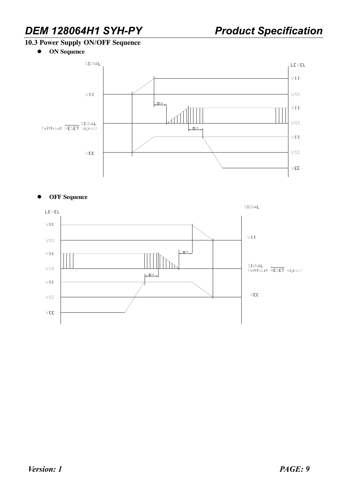### **10.3 Power Supply ON/OFF Sequence**

**•** ON Sequence



#### $\bullet$  **OFF** Sequence

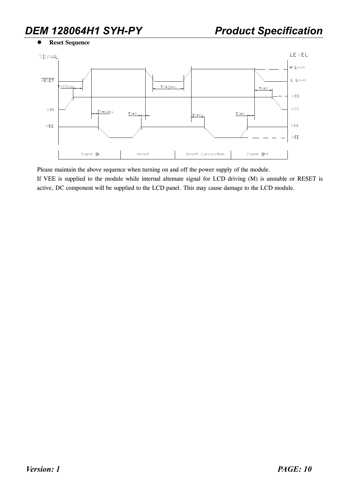l **Reset Sequence** 



Please maintain the above sequence when turning on and off the power supply of the module.

If VEE is supplied to the module while internal altemate signal for LCD driving (M) is unstable or RESET is active, DC component will be supplied to the LCD panel. This may cause damage to the LCD module.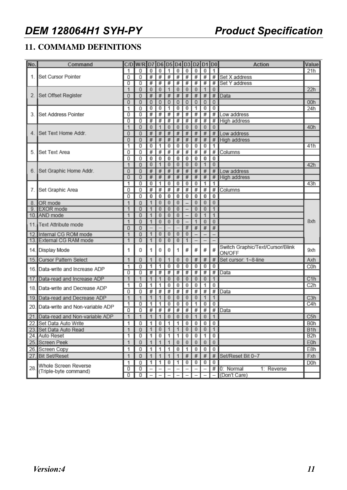## **11. COMMAMD DEFINITIONS**

| No.  | Command                         |   | C/D W/R D7 D6 D5 D4 D3 D2 D1 D0 |             |          |                  |                |                  |                 |                               |                | <b>Action</b>                              | Value            |
|------|---------------------------------|---|---------------------------------|-------------|----------|------------------|----------------|------------------|-----------------|-------------------------------|----------------|--------------------------------------------|------------------|
|      |                                 | 1 | 0                               | 0           | $\bf{0}$ | 1                | $\bf{0}$       | $\bf{0}$         | 0               | $\bf{0}$                      | 1              |                                            | 21h              |
| 1.1  | <b>Set Cursor Pointer</b>       | 0 | 0                               | #           | #        | #                | #              | #                | $\overline{\#}$ | #                             | #              | Set X address                              |                  |
|      |                                 | 0 | 0                               | #           | #        | #                | #              | #                | #               | #                             | #              | Set Y address                              |                  |
|      |                                 | 1 | 0                               | $\bf{0}$    | $\bf{0}$ | 1                | $\bf{0}$       | $\bf{0}$         | $\bf{0}$        | $\mathbf{1}$                  | $\bf{0}$       |                                            | 22h              |
|      | Set Offset Register             | 0 | 0                               | $\#$        | $\#$     | #                | $\#$           | $\#$             | $\#$            | #                             | $\#$           | Data                                       |                  |
|      |                                 | 0 | 0                               | $\mathbf 0$ | $\bf{0}$ | $\mathbf 0$      | $\mathbf 0$    | 0                | 0               | $\mathbf 0$                   | 0              |                                            | 00h              |
|      |                                 | 1 | 0                               | 0           | 0        | 1                | $\overline{0}$ | $\bf{0}$         | 1               | $\overline{0}$                | 0              |                                            | 24h              |
| 3.   | Set Address Pointer             | 0 | 0                               | #           | #        | #                | #              | #                | #               | #                             | #              | Low address                                |                  |
|      |                                 | 0 | 0                               | #           | #        | #                | #              | #                | #               | #                             |                | # High address                             |                  |
|      |                                 | 1 | 0                               | $\bf{0}$    | 1        | $\bf{0}$         | $\bf{0}$       | $\boldsymbol{0}$ | 0               | $\bf{0}$                      | $\bf{0}$       |                                            | 40h              |
|      | 4. ISet Text Home Addr.         | 0 | 0                               | $\#$        | $\#$     | #                | #              | #                | #               | #                             | #              | Low address                                |                  |
|      |                                 | 0 | 0                               | $\#$        | $\#$     | $\#$             | $\#$           | #                | #               | #                             | $\#$           | <b>High address</b>                        |                  |
|      |                                 | 1 | 0                               | 0           | 1        | $\bf{0}$         | 0              | $\bf{0}$         | 0               | $\bf{0}$                      | 1              |                                            | 41h              |
| 5    | Set Text Area                   | 0 | 0                               | #           | #        | #                | #              | #                | #               | #                             | #              | Columns                                    |                  |
|      |                                 | 0 | 0                               | $\pmb{0}$   | 0        | $\bf{0}$         | 0              | 0                | 0               | 0                             | 0              |                                            |                  |
|      |                                 | 1 | 0                               | $\bf{0}$    | 1        | $\bf{0}$         | $\bf{0}$       | $\bf{0}$         | $\bf{0}$        | 1                             | $\bf{0}$       |                                            | 42h              |
|      | 6. Set Graphic Home Addr.       | 0 | 0                               | #           | $\#$     | $\#$             | $\#$           | $\#$             | $\#$            | $\#$                          | $\#$           | Low address                                |                  |
|      |                                 | 0 | 0                               | #           | #        | #                | #              | #                | #               | #                             | # I            | <b>High address</b>                        |                  |
|      |                                 | 1 | 0                               | 0           | 1        | $\bf{0}$         | $\bf{0}$       | 0                | 0               | 1                             | 1              |                                            | 43h              |
| 7.   | Set Graphic Area                | 0 | 0                               | #           | #        | #                | #              | #                | #               | #                             | #              | Columns                                    |                  |
|      |                                 |   | 0                               | 0           | $\bf{0}$ | $\bf{0}$         | $\bf{0}$       | 0                | 0               | 0                             | 0              |                                            |                  |
| 8.1  | OR mode                         | 1 | 0                               | 1           | $\bf{0}$ | $\boldsymbol{0}$ | $\bf{0}$       |                  | $\bf{0}$        | $\bf{0}$                      | $\bf{0}$       |                                            |                  |
| 9.   | <b>EXOR</b> mode                | 1 | 0                               |             | 0        | $\bf{0}$         | $\bf{0}$       |                  | $\bf{0}$        | $\overline{0}$                | 1              |                                            |                  |
|      | 10. AND mode                    | 1 | 0                               |             | $\bf{0}$ | $\bf{0}$         | $\bf{0}$       |                  | $\bf{0}$        | 1                             | 1              |                                            |                  |
|      | 11. Text Attribute mode         | 1 | 0                               |             | $\bf{0}$ | $\bf{0}$         | $\bf{0}$       |                  | 1               | $\bf{0}$                      | $\bf{0}$       |                                            | 8xh              |
|      |                                 | 0 | 0                               |             |          |                  |                | #                | $\#$            | #                             | $\#$           |                                            |                  |
|      | 12. Internal CG ROM mode        | 1 | 0                               |             | 0        | $\bf{0}$         | $\bf{0}$       | $\bf{0}$         |                 |                               |                |                                            |                  |
|      | 13. External CG RAM mode        | 1 | 0                               |             | $\bf{0}$ | $\bf{0}$         | $\bf{0}$       | 1                |                 | $\overline{\phantom{0}}$      |                |                                            |                  |
| 14.1 | Display Mode                    | 1 | 0                               | 1           | 0        | $\bf{0}$         | 1              | #                | #               | #                             | #              | Switch Graphic/Text/Cursor/Blink<br>ON/OFF | 9xh              |
|      | 15. Cursor Pattern Select       | 1 | 0                               |             | $\bf{0}$ | 1                | $\bf{0}$       | $\bf{0}$         | $\#$            | $\#$                          | $\#$           | Set cursor: 1~8-line                       | Axh              |
|      | 16. Data-write and Increase ADP | 1 | 0                               | 1           | 1        | 0                | $\bf{0}$       | 0                | 0               | 0                             | 0              |                                            | C <sub>0</sub> h |
|      |                                 | 0 | 0                               | #           | #        | #                | #              | #                | #               | #                             | #              | Data                                       |                  |
| 17.  | Data-read and Increase ADP      | 1 | 1                               |             |          | $\bf{0}$         | $\bf{0}$       | $\bf{0}$         | 0               | $\bf{0}$                      |                |                                            | C1h              |
| 18.1 | Data-write and Decrease ADP     | 1 | 0                               | 1           | 1        | $\bf{0}$         | $\bf{0}$       | $\bf{0}$         | 0               | 1                             | 0              |                                            | C <sub>2</sub> h |
|      |                                 | 0 | 0                               | #           | #        | #                | #              | #                | #               | #                             | #              | Data                                       |                  |
| 19.  | Data-read and Decrease ADP      | 1 | 1                               | 1           | 1        | $\bf{0}$         | $\bf{0}$       | $\bf{0}$         | $\bf{0}$        | 1                             | 1              |                                            | C3h              |
| 20.I | Data-write and Non-variable ADP | 1 | 0                               | 1           | 1        | 0                | $\bf{0}$       | 0                | 1               | 0                             | 0              |                                            | C4h              |
|      |                                 | 0 | 0                               | #           | #        | #                | #              | #                | #               | #                             | #              | Data                                       |                  |
| 21.  | Data-read and Non-variable ADP  | 1 | 1                               | 1           | 1        | $\bf{0}$         | $\bf{0}$       | $\bf{0}$         | 1               | $\bf{0}$                      | 1              |                                            | C5h              |
|      | 22. Set Data Auto Write         | 1 | 0                               |             |          |                  |                |                  |                 | 1   0   1   1   0   0   0   0 |                |                                            | B0h              |
|      | 23. Set Data Auto Read          | 1 | 0                               | 1           | $\bf{0}$ | $\mathbf{1}$     | 1              | $\vert 0 \vert$  | $\bf{0}$        | $\bf{0}$                      | $\overline{1}$ |                                            | B <sub>1</sub> h |
|      | 24. Auto Reset                  | 1 | 0                               | 1           | $\bf{0}$ | 1                | 1              | $\bf{0}$         | $\bf{0}$        | 1                             | 0              |                                            | B2h              |
|      | 25. Screen Peek                 | 1 | 0                               | 1           | 1        | 1                | $\bf{0}$       | $\bf{0}$         | $\bf{0}$        | $\boldsymbol{0}$              | $\bf{0}$       |                                            | E0h              |
|      | 26. Screen Copy                 | 1 | 0                               | 1           | 1        | 1                | $\bf{0}$       | 1                | $\bf{0}$        | 0                             | 0              |                                            | E8h              |
|      | 27. Bit Set/Reset               | 1 | 0                               | 1           | 1        | 1                | 1              | $\#$             | $\#$            | $\#$                          |                | # Set/Reset Bit 0~7                        | Fxh              |
|      |                                 | 1 | 0                               | 1           | 1        | $\bf{0}$         | 1              | 0                | 0               | 0                             | 0              |                                            | D0h              |
| 28.  | Whole Screen Reverse            | 0 | 0                               |             |          | -                |                |                  | -               | $\overline{\phantom{a}}$      |                | # 0: Normal<br>1: Reverse                  |                  |
|      | (Triple-byte command)           | 0 | 0                               |             |          |                  |                |                  |                 |                               |                | - (Don't Care)                             |                  |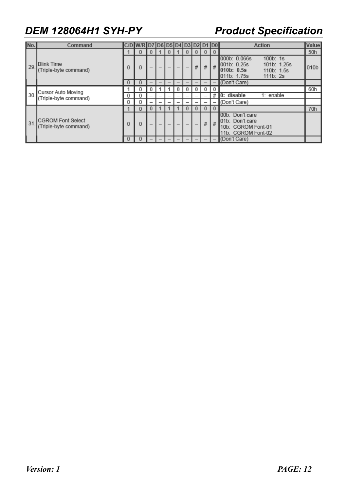| No. | Command                                           |   |   |  |   | 1) 4. I |   |          |   | <b>Action</b>                                                                                                    | Value            |
|-----|---------------------------------------------------|---|---|--|---|---------|---|----------|---|------------------------------------------------------------------------------------------------------------------|------------------|
| 29. | <b>Blink Time</b><br>(Triple-byte command)        |   | υ |  | U |         |   | $\bf{0}$ |   |                                                                                                                  | 50h              |
|     |                                                   | 0 | 0 |  |   |         | # | #        | # | 000b: 0.066s<br>$100b$ : 1s<br>001b: 0.25s<br>101b: 1.25s<br>1010b: 0.5s<br>110b: 1.5s<br>111b:2s<br>011b: 1.75s | 010 <sub>b</sub> |
|     |                                                   | 0 |   |  |   |         |   |          |   | (Don't Care)                                                                                                     |                  |
| 30. | Cursor Auto Moving<br>(Triple-byte command)       |   |   |  |   |         | 0 | 0        |   |                                                                                                                  | 60h              |
|     |                                                   | 0 |   |  | - |         |   |          | # | 0: disable<br>$1:$ enable                                                                                        |                  |
|     |                                                   | 0 |   |  |   |         |   |          |   | (Don't Care)                                                                                                     |                  |
| 31  | <b>CGROM Font Select</b><br>(Triple-byte command) |   |   |  |   |         | v | $\bf{0}$ |   |                                                                                                                  | 70h              |
|     |                                                   | 0 | 0 |  | - |         |   | #        | # | 00b: Don't care<br>101b: Don't care<br>10b: CGROM Font-01<br>11b: CGROM Font-02                                  |                  |
|     |                                                   | 0 |   |  |   |         |   |          |   | (Don't Care)                                                                                                     |                  |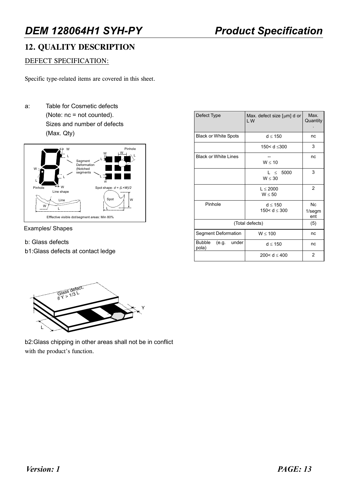### **12. QUALITY DESCRIPTION**

### DEFECT SPECIFICATION:

Specific type-related items are covered in this sheet.

a: Table for Cosmetic defects (Note: nc = not counted). Sizes and number of defects (Max. Qty)



Examples/ Shapes

#### b: Glass defects

b1:Glass defects at contact ledge

| Defect Type                              | Max. defect size $\lceil \mu m \rceil$ d or<br>LW | Max.<br>Quantity                   |
|------------------------------------------|---------------------------------------------------|------------------------------------|
| <b>Black or White Spots</b>              | $d \leq 150$                                      | nc                                 |
|                                          | 150< d ≤300                                       | 3                                  |
| <b>Black or White Lines</b>              | W < 10                                            | nc                                 |
|                                          | $L \leq 5000$<br>W < 30                           | 3                                  |
|                                          | L < 2000<br>W < 50                                | $\overline{2}$                     |
| Pinhole                                  | d < 150<br>150< $d \le 300$                       | N <sub>C</sub><br>$1$ /segm<br>ent |
| (Total defects)                          | (5)                                               |                                    |
| Segment Deformation                      | $W \le 100$                                       | nc                                 |
| <b>Bubble</b><br>under<br>(e.g.<br>pola) | d < 150                                           | nc                                 |
|                                          | 200< $d < 400$                                    | $\overline{2}$                     |



b2:Glass chipping in other areas shall not be in conflict with the product's function.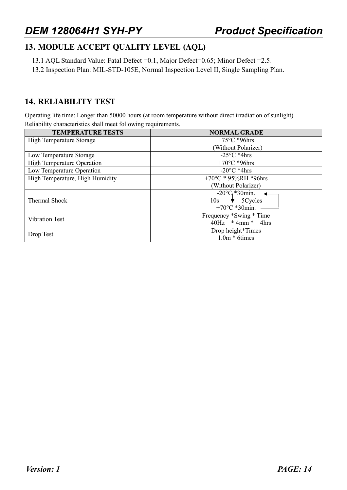### **13. MODULE ACCEPT QUALITY LEVEL (AQL)**

- 13.1 AQL Standard Value: Fatal Defect =0.1, Major Defect=0.65; Minor Defect =2.5.
- 13.2 Inspection Plan: MIL-STD-105E, Normal Inspection Level II, Single Sampling Plan.

### **14. RELIABILITY TEST**

Operating life time: Longer than 50000 hours (at room temperature without direct irradiation of sunlight) Reliability characteristics shall meet following requirements.

| <b>TEMPERATURE TESTS</b>          | <b>NORMAL GRADE</b>                                                                                   |
|-----------------------------------|-------------------------------------------------------------------------------------------------------|
| <b>High Temperature Storage</b>   | $+75^{\circ}$ C *96hrs                                                                                |
|                                   | (Without Polarizer)                                                                                   |
| Low Temperature Storage           | $-25^{\circ}$ C *4hrs                                                                                 |
| <b>High Temperature Operation</b> | $+70^{\circ}$ C *96hrs                                                                                |
| Low Temperature Operation         | $-20^{\circ}$ C *4hrs                                                                                 |
| High Temperature, High Humidity   | +70°C * 95%RH *96hrs                                                                                  |
|                                   | (Without Polarizer)                                                                                   |
| Thermal Shock                     | $-20^{\circ}C_1$ *30min. $\triangleleft$<br>$10s \rightarrow 5Cycles$<br>+70 $\rm{^{\circ}C}$ *30min. |
| <b>Vibration Test</b>             | Frequency *Swing * Time<br>$40Hz$ * 4mm * 4hrs                                                        |
| Drop Test                         | Drop height*Times<br>$1.0m * 6$ times                                                                 |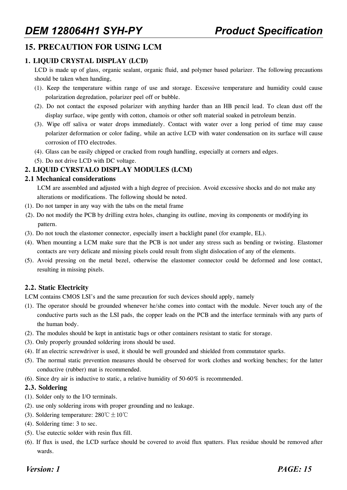### **15. PRECAUTION FOR USING LCM**

### **1. LIQUID CRYSTAL DISPLAY (LCD)**

LCD is made up of glass, organic sealant, organic fluid, and polymer based polarizer. The following precautions should be taken when handing,

- (1). Keep the temperature within range of use and storage. Excessive temperature and humidity could cause polarization degredation, polarizer peel off or bubble.
- (2). Do not contact the exposed polarizer with anything harder than an HB pencil lead. To clean dust off the display surface, wipe gently with cotton, chamois or other soft material soaked in petroleum benzin.
- (3). Wipe off saliva or water drops immediately. Contact with water over a long period of time may cause polarizer deformation or color fading, while an active LCD with water condensation on its surface will cause corrosion of ITO electrodes.
- (4). Glass can be easily chipped or cracked from rough handling, especially at corners and edges.
- (5). Do not drive LCD with DC voltage.

### **2. LIQUID CYRSTALO DISPLAY MODULES (LCM)**

#### **2.1 Mechanical considerations**

LCM are assembled and adjusted with a high degree of precision. Avoid excessive shocks and do not make any alterations or modifications. The following should be noted.

- (1). Do not tamper in any way with the tabs on the metal frame
- (2). Do not modify the PCB by drilling extra holes, changing its outline, moving its components or modifying its pattern.
- (3). Do not touch the elastomer connector, especially insert a backlight panel (for example, EL).
- (4). When mounting a LCM make sure that the PCB is not under any stress such as bending or twisting. Elastomer contacts are very delicate and missing pixels could result from slight dislocation of any of the elements.
- (5). Avoid pressing on the metal bezel, otherwise the elastomer connector could be deformed and lose contact, resulting in missing pixels.

### **2.2. Static Electricity**

LCM contains CMOS LSI's and the same precaution for such devices should apply, namely

- (1). The operator should be grounded whenever he/she comes into contact with the module. Never touch any of the conductive parts such as the LSI pads, the copper leads on the PCB and the interface terminals with any parts of the human body.
- (2). The modules should be kept in antistatic bags or other containers resistant to static for storage.
- (3). Only properly grounded soldering irons should be used.
- (4). If an electric screwdriver is used, it should be well grounded and shielded from commutator sparks.
- (5). The normal static prevention measures should be observed for work clothes and working benches; for the latter conductive (rubber) mat is recommended.
- (6). Since dry air is inductive to static, a relative humidity of 50-60% is recommended.

#### **2.3. Soldering**

- (1). Solder only to the I/O terminals.
- (2). use only soldering irons with proper grounding and no leakage.
- (3). Soldering temperature:  $280^{\circ}C \pm 10^{\circ}C$
- (4). Soldering time: 3 to sec.
- (5). Use eutectic solder with resin flux fill.
- (6). If flux is used, the LCD surface should be covered to avoid flux spatters. Flux residue should be removed after wards.